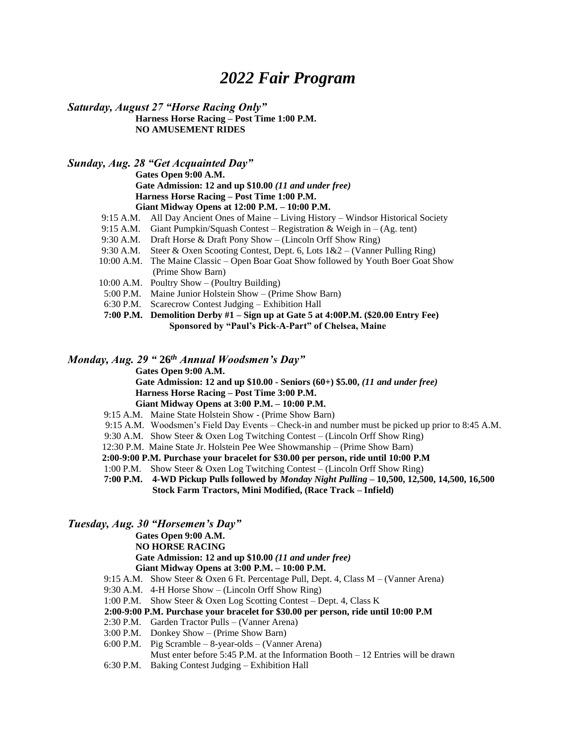# *2022 Fair Program*

*Saturday, August 27 "Horse Racing Only"* **Harness Horse Racing – Post Time 1:00 P.M.**

**NO AMUSEMENT RIDES**

*Sunday, Aug. 28 "Get Acquainted Day"*

**Gates Open 9:00 A.M. Gate Admission: 12 and up \$10.00** *(11 and under free)* **Harness Horse Racing – Post Time 1:00 P.M. Giant Midway Opens at 12:00 P.M. – 10:00 P.M.**

- 9:15 A.M. All Day Ancient Ones of Maine Living History Windsor Historical Society
- 9:15 A.M. Giant Pumpkin/Squash Contest Registration & Weigh in (Ag. tent)
- 9:30 A.M. Draft Horse & Draft Pony Show (Lincoln Orff Show Ring)
- 9:30 A.M. Steer & Oxen Scooting Contest, Dept. 6, Lots 1&2 (Vanner Pulling Ring)
- 10:00 A.M. The Maine Classic Open Boar Goat Show followed by Youth Boer Goat Show (Prime Show Barn)
- 10:00 A.M. Poultry Show (Poultry Building)
- 5:00 P.M. Maine Junior Holstein Show (Prime Show Barn)
- 6:30 P.M. Scarecrow Contest Judging Exhibition Hall

**7:00 P.M. Demolition Derby #1 – Sign up at Gate 5 at 4:00P.M. (\$20.00 Entry Fee) Sponsored by "Paul's Pick-A-Part" of Chelsea, Maine**

# *Monday, Aug. 29 "* **26** *th Annual Woodsmen's Day"*

**Gates Open 9:00 A.M.**

- **Gate Admission: 12 and up \$10.00 - Seniors (60+) \$5.00,** *(11 and under free)* **Harness Horse Racing – Post Time 3:00 P.M. Giant Midway Opens at 3:00 P.M. – 10:00 P.M.**
- 9:15 A.M. Maine State Holstein Show (Prime Show Barn)
- 9:15 A.M. Woodsmen's Field Day Events Check-in and number must be picked up prior to 8:45 A.M.
- 9:30 A.M. Show Steer & Oxen Log Twitching Contest (Lincoln Orff Show Ring)
- 12:30 P.M. Maine State Jr. Holstein Pee Wee Showmanship (Prime Show Barn)
- **2:00-9:00 P.M. Purchase your bracelet for \$30.00 per person, ride until 10:00 P.M**
- 1:00 P.M. Show Steer & Oxen Log Twitching Contest (Lincoln Orff Show Ring)
- **7:00 P.M. 4-WD Pickup Pulls followed by** *Monday Night Pulling* **– 10,500, 12,500, 14,500, 16,500 Stock Farm Tractors, Mini Modified, (Race Track – Infield)**

## *Tuesday, Aug. 30 "Horsemen's Day"*

**Gates Open 9:00 A.M. NO HORSE RACING Gate Admission: 12 and up \$10.00** *(11 and under free)* **Giant Midway Opens at 3:00 P.M. – 10:00 P.M.**

- 9:15 A.M. Show Steer & Oxen 6 Ft. Percentage Pull, Dept. 4, Class M (Vanner Arena)
- 9:30 A.M. 4-H Horse Show (Lincoln Orff Show Ring)
- 1:00 P.M. Show Steer & Oxen Log Scotting Contest Dept. 4, Class K

#### **2:00-9:00 P.M. Purchase your bracelet for \$30.00 per person, ride until 10:00 P.M**

- 2:30 P.M. Garden Tractor Pulls (Vanner Arena)
- 3:00 P.M. Donkey Show (Prime Show Barn)
- 6:00 P.M. Pig Scramble 8-year-olds (Vanner Arena)
- Must enter before 5:45 P.M. at the Information Booth 12 Entries will be drawn
- 6:30 P.M. Baking Contest Judging Exhibition Hall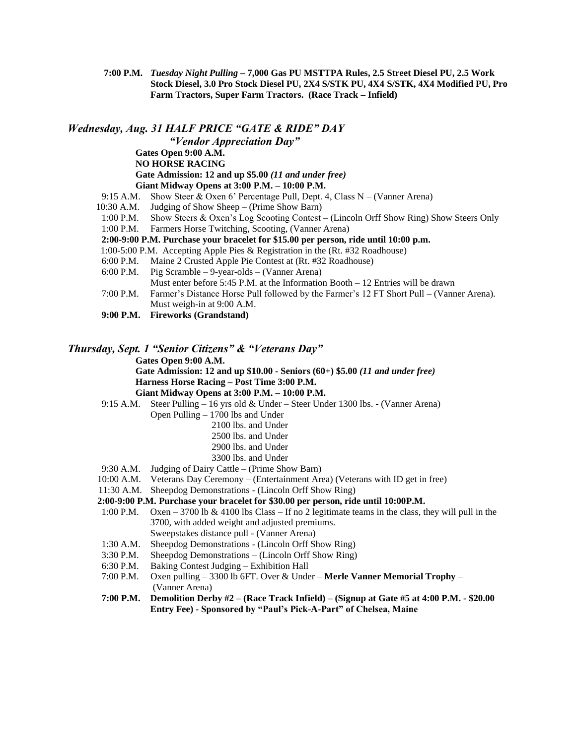**7:00 P.M.** *Tuesday Night Pulling* **– 7,000 Gas PU MSTTPA Rules, 2.5 Street Diesel PU, 2.5 Work Stock Diesel, 3.0 Pro Stock Diesel PU, 2X4 S/STK PU, 4X4 S/STK, 4X4 Modified PU, Pro Farm Tractors, Super Farm Tractors. (Race Track – Infield)**

## *Wednesday, Aug. 31 HALF PRICE "GATE & RIDE" DAY "Vendor Appreciation Day"* **Gates Open 9:00 A.M. NO HORSE RACING Gate Admission: 12 and up \$5.00** *(11 and under free)* **Giant Midway Opens at 3:00 P.M. – 10:00 P.M.** 9:15 A.M. Show Steer & Oxen 6' Percentage Pull, Dept. 4, Class N – (Vanner Arena) 10:30 A.M. Judging of Show Sheep – (Prime Show Barn) 1:00 P.M. Show Steers & Oxen's Log Scooting Contest – (Lincoln Orff Show Ring) Show Steers Only 1:00 P.M. Farmers Horse Twitching, Scooting, (Vanner Arena) **2:00-9:00 P.M. Purchase your bracelet for \$15.00 per person, ride until 10:00 p.m.** 1:00-5:00 P.M. Accepting Apple Pies & Registration in the (Rt. #32 Roadhouse) 6:00 P.M. Maine 2 Crusted Apple Pie Contest at (Rt. #32 Roadhouse) 6:00 P.M. Pig Scramble – 9-year-olds – (Vanner Arena) Must enter before 5:45 P.M. at the Information Booth – 12 Entries will be drawn

- 7:00 P.M. Farmer's Distance Horse Pull followed by the Farmer's 12 FT Short Pull (Vanner Arena). Must weigh-in at 9:00 A.M.
- **9:00 P.M. Fireworks (Grandstand)**

## *Thursday, Sept. 1 "Senior Citizens" & "Veterans Day"*

**Gates Open 9:00 A.M.**

**Gate Admission: 12 and up \$10.00 - Seniors (60+) \$5.00** *(11 and under free)* **Harness Horse Racing – Post Time 3:00 P.M. Giant Midway Opens at 3:00 P.M. – 10:00 P.M.**

9:15 A.M. Steer Pulling – 16 yrs old & Under – Steer Under 1300 lbs. - (Vanner Arena)

- Open Pulling 1700 lbs and Under
	- 2100 lbs. and Under
	- 2500 lbs. and Under
	- 2900 lbs. and Under
	- 3300 lbs. and Under
- 9:30 A.M. Judging of Dairy Cattle (Prime Show Barn)
- 10:00 A.M. Veterans Day Ceremony (Entertainment Area) (Veterans with ID get in free)
- 11:30 A.M. Sheepdog Demonstrations (Lincoln Orff Show Ring)

## **2:00-9:00 P.M. Purchase your bracelet for \$30.00 per person, ride until 10:00P.M.**

- 1:00 P.M. Oxen 3700 lb & 4100 lbs Class If no 2 legitimate teams in the class, they will pull in the 3700, with added weight and adjusted premiums. Sweepstakes distance pull - (Vanner Arena)
- 1:30 A.M. Sheepdog Demonstrations (Lincoln Orff Show Ring)
- 3:30 P.M. Sheepdog Demonstrations (Lincoln Orff Show Ring)
- 6:30 P.M. Baking Contest Judging Exhibition Hall
- 7:00 P.M. Oxen pulling 3300 lb 6FT. Over & Under **Merle Vanner Memorial Trophy** (Vanner Arena)

#### **7:00 P.M. Demolition Derby #2 – (Race Track Infield) – (Signup at Gate #5 at 4:00 P.M. - \$20.00 Entry Fee) - Sponsored by "Paul's Pick-A-Part" of Chelsea, Maine**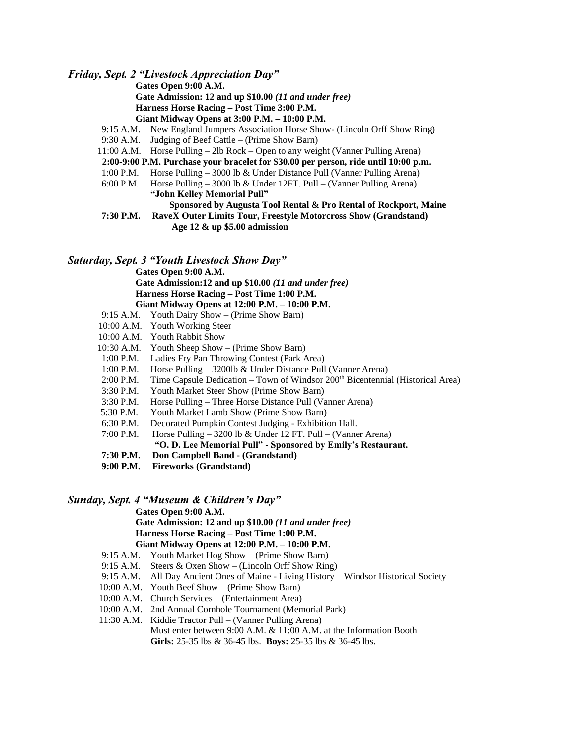*Friday, Sept. 2 "Livestock Appreciation Day"*

**Gates Open 9:00 A.M.**

**Gate Admission: 12 and up \$10.00** *(11 and under free)* **Harness Horse Racing – Post Time 3:00 P.M. Giant Midway Opens at 3:00 P.M. – 10:00 P.M.**

- 9:15 A.M. New England Jumpers Association Horse Show- (Lincoln Orff Show Ring)
- 9:30 A.M. Judging of Beef Cattle (Prime Show Barn)
- 11:00 A.M. Horse Pulling 2lb Rock Open to any weight (Vanner Pulling Arena)
- **2:00-9:00 P.M. Purchase your bracelet for \$30.00 per person, ride until 10:00 p.m.**
- 1:00 P.M. Horse Pulling 3000 lb & Under Distance Pull (Vanner Pulling Arena)
- 6:00 P.M. Horse Pulling 3000 lb & Under 12FT. Pull (Vanner Pulling Arena) **"John Kelley Memorial Pull"**
	- **Sponsored by Augusta Tool Rental & Pro Rental of Rockport, Maine**
- **7:30 P.M. RaveX Outer Limits Tour, Freestyle Motorcross Show (Grandstand) Age 12 & up \$5.00 admission**

#### *Saturday, Sept. 3 "Youth Livestock Show Day"*

**Gates Open 9:00 A.M. Gate Admission:12 and up \$10.00** *(11 and under free)* **Harness Horse Racing – Post Time 1:00 P.M. Giant Midway Opens at 12:00 P.M. – 10:00 P.M.**

- 9:15 A.M. Youth Dairy Show (Prime Show Barn)
- 10:00 A.M. Youth Working Steer
- 10:00 A.M. Youth Rabbit Show
- 10:30 A.M. Youth Sheep Show (Prime Show Barn)
- 1:00 P.M. Ladies Fry Pan Throwing Contest (Park Area)
- 1:00 P.M. Horse Pulling 3200lb & Under Distance Pull (Vanner Arena)
- 2:00 P.M. Time Capsule Dedication Town of Windsor 200<sup>th</sup> Bicentennial (Historical Area)
- 3:30 P.M. Youth Market Steer Show (Prime Show Barn)
- 3:30 P.M. Horse Pulling Three Horse Distance Pull (Vanner Arena)
- 5:30 P.M. Youth Market Lamb Show (Prime Show Barn)
- 6:30 P.M. Decorated Pumpkin Contest Judging Exhibition Hall.
- 7:00 P.M. Horse Pulling 3200 lb & Under 12 FT. Pull (Vanner Arena)
	- **"O. D. Lee Memorial Pull" - Sponsored by Emily's Restaurant.**
- **7:30 P.M. Don Campbell Band - (Grandstand)**
- **9:00 P.M. Fireworks (Grandstand)**

#### *Sunday, Sept. 4 "Museum & Children's Day"*

**Gates Open 9:00 A.M.**

**Gate Admission: 12 and up \$10.00** *(11 and under free)* **Harness Horse Racing – Post Time 1:00 P.M. Giant Midway Opens at 12:00 P.M. – 10:00 P.M.**

- 9:15 A.M. Youth Market Hog Show (Prime Show Barn)
- 9:15 A.M. Steers & Oxen Show (Lincoln Orff Show Ring)
- 9:15 A.M. All Day Ancient Ones of Maine Living History Windsor Historical Society
- 10:00 A.M. Youth Beef Show (Prime Show Barn)
- 10:00 A.M. Church Services (Entertainment Area)
- 10:00 A.M. 2nd Annual Cornhole Tournament (Memorial Park)

11:30 A.M. Kiddie Tractor Pull – (Vanner Pulling Arena) Must enter between 9:00 A.M. & 11:00 A.M. at the Information Booth **Girls:** 25-35 lbs & 36-45 lbs. **Boys:** 25-35 lbs & 36-45 lbs.